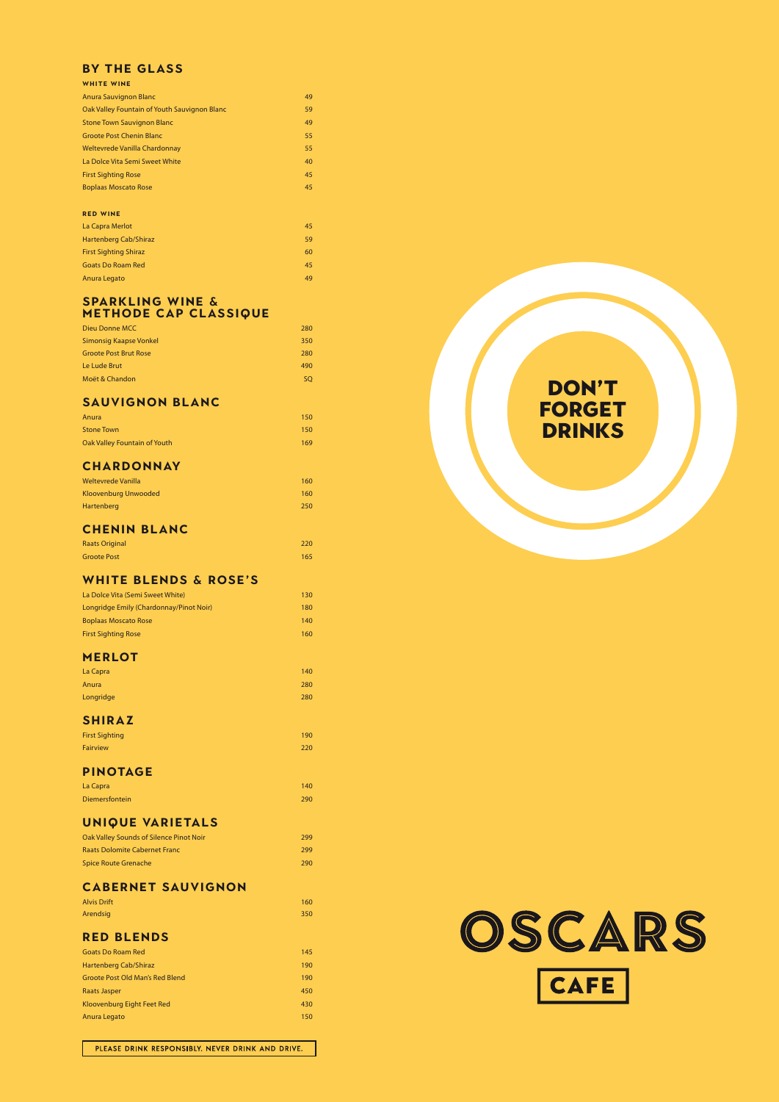# DON'T FORGET DRINKS

## **BY THE GLASS**

| <b>WHITE WINE</b>                            |    |
|----------------------------------------------|----|
| <b>Anura Sauvignon Blanc</b>                 | 49 |
| Oak Valley Fountain of Youth Sauvignon Blanc | 59 |
| <b>Stone Town Sauvignon Blanc</b>            | 49 |
| <b>Groote Post Chenin Blanc</b>              | 55 |
| Weltevrede Vanilla Chardonnay                | 55 |
| La Dolce Vita Semi Sweet White               | 40 |
| <b>First Sighting Rose</b>                   | 45 |
| <b>Boplaas Moscato Rose</b>                  | 45 |
|                                              |    |

#### **Red Wine**

| Anura                        | 150 |
|------------------------------|-----|
| <b>Stone Town</b>            | 150 |
| Oak Valley Fountain of Youth | 169 |

| La Capra Merlot              | 45 |
|------------------------------|----|
| Hartenberg Cab/Shiraz        | 59 |
| <b>First Sighting Shiraz</b> | 60 |
| <b>Goats Do Roam Red</b>     | 45 |
| Anura Legato                 | 49 |

| Weltevrede Vanilla   | 160 |
|----------------------|-----|
| Kloovenburg Unwooded | 160 |
| Hartenberg           | 250 |

| 130 |
|-----|
| 180 |
| 140 |
| 160 |
|     |

#### **SPARKLING WINE & METHODE CAP CLASSIQUE**

| Dieu Donne MCC               | 280 |
|------------------------------|-----|
| Simonsig Kaapse Vonkel       | 350 |
| <b>Groote Post Brut Rose</b> | 280 |
| Le Lude Brut                 | 490 |
| Moët & Chandon               | SO. |
|                              |     |

## **SAUVIGNON BLANC**

#### **CHARDONNAY**

## **CHENIN BLANC**

| <b>Raats Original</b> | 220 |
|-----------------------|-----|
| <b>Groote Post</b>    | 165 |

## **WHITE BLENDS & ROSE'S**

#### **MERLOT**

| La Capra  | 140 |
|-----------|-----|
| Anura     | 280 |
| Longridge | 280 |

### **SHIRAZ**

| <b>First Sighting</b> | 190 |
|-----------------------|-----|
| <b>Fairview</b>       | 220 |

#### **PINOTAGE**

| La Capra       | 140 |
|----------------|-----|
| Diemersfontein | 290 |

## **UNIQUE VARIETALS**

| Oak Valley Sounds of Silence Pinot Noir | 299  |
|-----------------------------------------|------|
| <b>Raats Dolomite Cabernet Franc</b>    | 299  |
| <b>Spice Route Grenache</b>             | 290. |

#### **CABERNET SAUVIGNON**

| <b>Alvis Drift</b> | 160 |
|--------------------|-----|
| Arendsig           | 350 |

#### **RED BLENDS**

| <b>Goats Do Roam Red</b>        | 145 |
|---------------------------------|-----|
| Hartenberg Cab/Shiraz           | 190 |
| Groote Post Old Man's Red Blend | 190 |
| Raats Jasper                    | 450 |
| Kloovenburg Eight Feet Red      | 430 |
| Anura Legato                    | 150 |

OSCARS



PLEASE DRINK RESPONSIBLY. NEVER DRINK AND DRIVE.